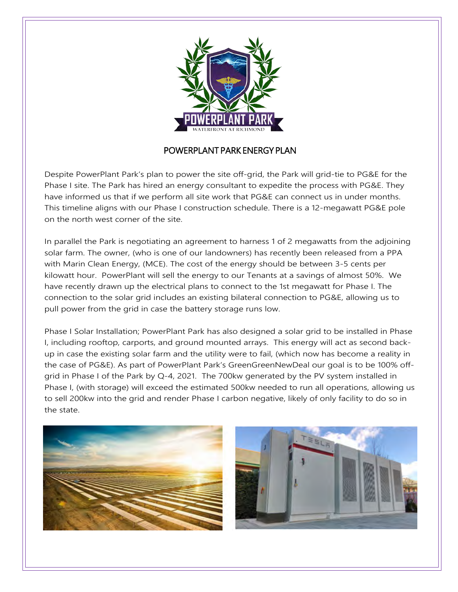

## POWERPLANT PARK ENERGY PLAN

Despite PowerPlant Park's plan to power the site off-grid, the Park will grid-tie to PG&E for the Phase I site. The Park has hired an energy consultant to expedite the process with PG&E. They have informed us that if we perform all site work that PG&E can connect us in under months. This timeline aligns with our Phase I construction schedule. There is a 12-megawatt PG&E pole on the north west corner of the site.

In parallel the Park is negotiating an agreement to harness 1 of 2 megawatts from the adjoining solar farm. The owner, (who is one of our landowners) has recently been released from a PPA with Marin Clean Energy, (MCE). The cost of the energy should be between 3-5 cents per kilowatt hour. PowerPlant will sell the energy to our Tenants at a savings of almost 50%. We have recently drawn up the electrical plans to connect to the 1st megawatt for Phase I. The connection to the solar grid includes an existing bilateral connection to PG&E, allowing us to pull power from the grid in case the battery storage runs low.

Phase I Solar Installation; PowerPlant Park has also designed a solar grid to be installed in Phase I, including rooftop, carports, and ground mounted arrays. This energy will act as second backup in case the existing solar farm and the utility were to fail, (which now has become a reality in the case of PG&E). As part of PowerPlant Park's GreenGreenNewDeal our goal is to be 100% offgrid in Phase I of the Park by Q-4, 2021. The 700kw generated by the PV system installed in Phase I, (with storage) will exceed the estimated 500kw needed to run all operations, allowing us to sell 200kw into the grid and render Phase I carbon negative, likely of only facility to do so in the state.